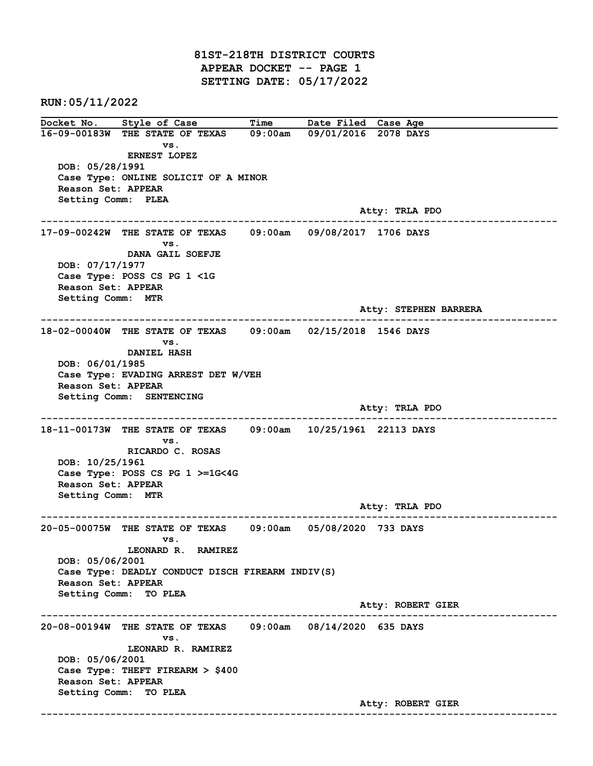81ST-218TH DISTRICT COURTS APPEAR DOCKET -- PAGE 1 SETTING DATE: 05/17/2022

RUN:05/11/2022

Docket No. Style of Case Time Date Filed Case Age 16-09-00183W THE STATE OF TEXAS 09:00am 09/01/2016 2078 DAYS vs. ERNEST LOPEZ DOB: 05/28/1991 Case Type: ONLINE SOLICIT OF A MINOR Reason Set: APPEAR Setting Comm: PLEA Atty: TRLA PDO ------------------------------------------------------------------------------------------------------------------------ 17-09-00242W THE STATE OF TEXAS 09:00am 09/08/2017 1706 DAYS vs. DANA GAIL SOEFJE DOB: 07/17/1977 Case Type: POSS CS PG 1 <1G Reason Set: APPEAR Setting Comm: MTR Atty: STEPHEN BARRERA ------------------------------------------------------------------------------------------------------------------------ 18-02-00040W THE STATE OF TEXAS 09:00am 02/15/2018 1546 DAYS vs. DANIEL HASH DOB: 06/01/1985 Case Type: EVADING ARREST DET W/VEH Reason Set: APPEAR Setting Comm: SENTENCING Atty: TRLA PDO ------------------------------------------------------------------------------------------------------------------------ 18-11-00173W THE STATE OF TEXAS 09:00am 10/25/1961 22113 DAYS vs. RICARDO C. ROSAS DOB: 10/25/1961 Case Type: POSS CS PG 1 >=1G<4G Reason Set: APPEAR Setting Comm: MTR Atty: TRLA PDO ------------------------------------------------------------------------------------------------------------------------ 20-05-00075W THE STATE OF TEXAS 09:00am 05/08/2020 733 DAYS vs. LEONARD R. RAMIREZ DOB: 05/06/2001 Case Type: DEADLY CONDUCT DISCH FIREARM INDIV(S) Reason Set: APPEAR Setting Comm: TO PLEA Atty: ROBERT GIER ------------------------------------------------------------------------------------------------------------------------ 20-08-00194W THE STATE OF TEXAS 09:00am 08/14/2020 635 DAYS vs. LEONARD R. RAMIREZ DOB: 05/06/2001 Case Type: THEFT FIREARM > \$400 Reason Set: APPEAR Setting Comm: TO PLEA Atty: ROBERT GIER ------------------------------------------------------------------------------------------------------------------------